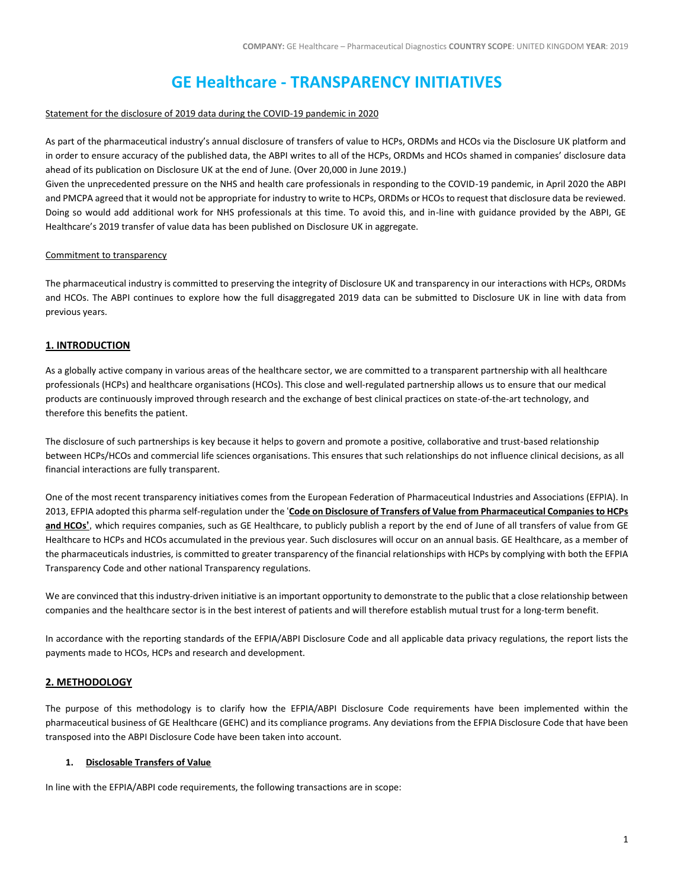# **GE Healthcare - TRANSPARENCY INITIATIVES**

#### Statement for the disclosure of 2019 data during the COVID-19 pandemic in 2020

As part of the pharmaceutical industry's annual disclosure of transfers of value to HCPs, ORDMs and HCOs via the Disclosure UK platform and in order to ensure accuracy of the published data, the ABPI writes to all of the HCPs, ORDMs and HCOs shamed in companies' disclosure data ahead of its publication on Disclosure UK at the end of June. (Over 20,000 in June 2019.)

Given the unprecedented pressure on the NHS and health care professionals in responding to the COVID-19 pandemic, in April 2020 the ABPI and PMCPA agreed that it would not be appropriate for industry to write to HCPs, ORDMs or HCOs to request that disclosure data be reviewed. Doing so would add additional work for NHS professionals at this time. To avoid this, and in-line with guidance provided by the ABPI, GE Healthcare's 2019 transfer of value data has been published on Disclosure UK in aggregate.

#### Commitment to transparency

The pharmaceutical industry is committed to preserving the integrity of Disclosure UK and transparency in our interactions with HCPs, ORDMs and HCOs. The ABPI continues to explore how the full disaggregated 2019 data can be submitted to Disclosure UK in line with data from previous years.

## **1. INTRODUCTION**

As a globally active company in various areas of the healthcare sector, we are committed to a transparent partnership with all healthcare professionals (HCPs) and healthcare organisations (HCOs). This close and well-regulated partnership allows us to ensure that our medical products are continuously improved through research and the exchange of best clinical practices on state-of-the-art technology, and therefore this benefits the patient.

The disclosure of such partnerships is key because it helps to govern and promote a positive, collaborative and trust-based relationship between HCPs/HCOs and commercial life sciences organisations. This ensures that such relationships do not influence clinical decisions, as all financial interactions are fully transparent.

One of the most recent transparency initiatives comes from the European Federation of Pharmaceutical Industries and Associations (EFPIA). In 2013, EFPIA adopted this pharma self-regulation under the '**[Code on Disclosure of Transfers of Value from Pharmaceutical Companies to HCPs](http://transparency.efpia.eu/the-efpia-code-2)  [and HCOs](http://transparency.efpia.eu/the-efpia-code-2)'**, which requires companies, such as GE Healthcare, to publicly publish a report by the end of June of all transfers of value from GE Healthcare to HCPs and HCOs accumulated in the previous year. Such disclosures will occur on an annual basis. GE Healthcare, as a member of the pharmaceuticals industries, is committed to greater transparency of the financial relationships with HCPs by complying with both the EFPIA Transparency Code and other national Transparency regulations.

We are convinced that this industry-driven initiative is an important opportunity to demonstrate to the public that a close relationship between companies and the healthcare sector is in the best interest of patients and will therefore establish mutual trust for a long-term benefit.

In accordance with the reporting standards of the EFPIA/ABPI Disclosure Code and all applicable data privacy regulations, the report lists the payments made to HCOs, HCPs and research and development.

## **2. METHODOLOGY**

The purpose of this methodology is to clarify how the EFPIA/ABPI Disclosure Code requirements have been implemented within the pharmaceutical business of GE Healthcare (GEHC) and its compliance programs. Any deviations from the EFPIA Disclosure Code that have been transposed into the ABPI Disclosure Code have been taken into account.

## **1. Disclosable Transfers of Value**

In line with the EFPIA/ABPI code requirements, the following transactions are in scope: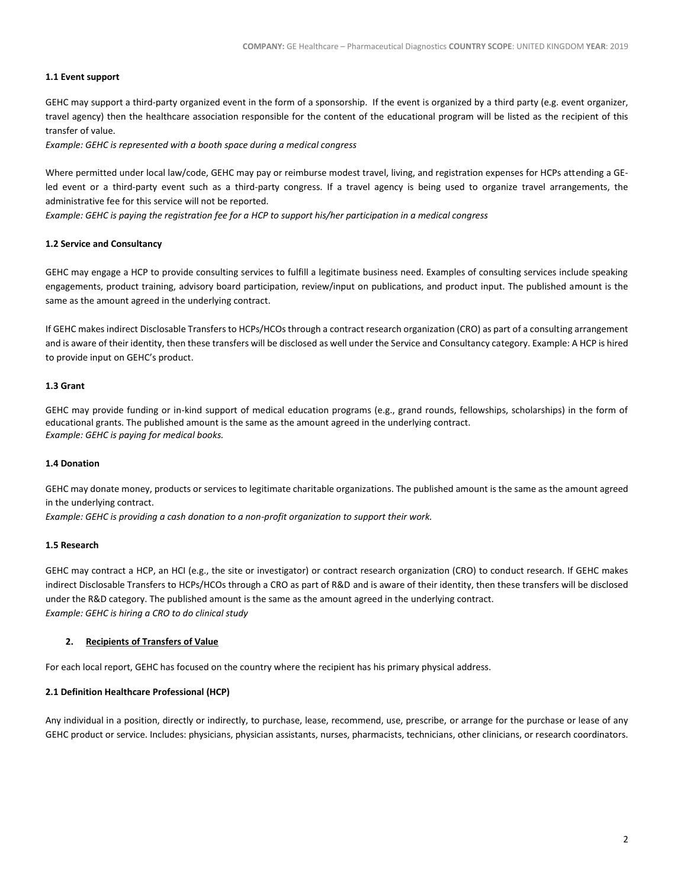### **1.1 Event support**

GEHC may support a third-party organized event in the form of a sponsorship. If the event is organized by a third party (e.g. event organizer, travel agency) then the healthcare association responsible for the content of the educational program will be listed as the recipient of this transfer of value.

*Example: GEHC is represented with a booth space during a medical congress*

Where permitted under local law/code, GEHC may pay or reimburse modest travel, living, and registration expenses for HCPs attending a GEled event or a third-party event such as a third-party congress. If a travel agency is being used to organize travel arrangements, the administrative fee for this service will not be reported.

*Example: GEHC is paying the registration fee for a HCP to support his/her participation in a medical congress*

#### **1.2 Service and Consultancy**

GEHC may engage a HCP to provide consulting services to fulfill a legitimate business need. Examples of consulting services include speaking engagements, product training, advisory board participation, review/input on publications, and product input. The published amount is the same as the amount agreed in the underlying contract.

If GEHC makes indirect Disclosable Transfers to HCPs/HCOs through a contract research organization (CRO) as part of a consulting arrangement and is aware of their identity, then these transfers will be disclosed as well under the Service and Consultancy category. Example: A HCP is hired to provide input on GEHC's product.

## **1.3 Grant**

GEHC may provide funding or in-kind support of medical education programs (e.g., grand rounds, fellowships, scholarships) in the form of educational grants. The published amount is the same as the amount agreed in the underlying contract. *Example: GEHC is paying for medical books.*

#### **1.4 Donation**

GEHC may donate money, products or services to legitimate charitable organizations. The published amount is the same as the amount agreed in the underlying contract.

*Example: GEHC is providing a cash donation to a non-profit organization to support their work.*

#### **1.5 Research**

GEHC may contract a HCP, an HCI (e.g., the site or investigator) or contract research organization (CRO) to conduct research. If GEHC makes indirect Disclosable Transfers to HCPs/HCOs through a CRO as part of R&D and is aware of their identity, then these transfers will be disclosed under the R&D category. The published amount is the same as the amount agreed in the underlying contract. *Example: GEHC is hiring a CRO to do clinical study*

## **2. Recipients of Transfers of Value**

For each local report, GEHC has focused on the country where the recipient has his primary physical address.

#### **2.1 Definition Healthcare Professional (HCP)**

Any individual in a position, directly or indirectly, to purchase, lease, recommend, use, prescribe, or arrange for the purchase or lease of any GEHC product or service. Includes: physicians, physician assistants, nurses, pharmacists, technicians, other clinicians, or research coordinators.